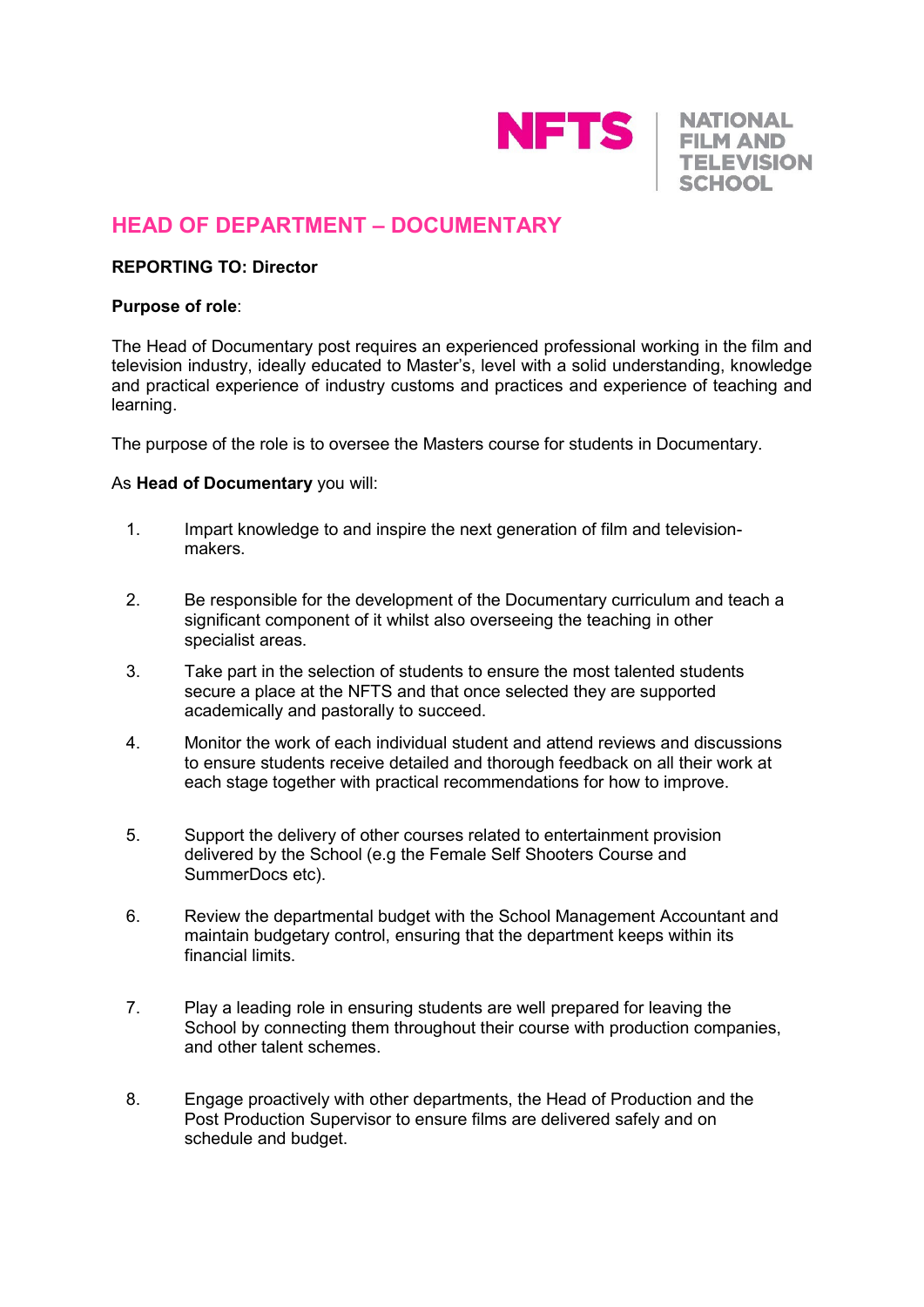

**NATIONAL FILM AND TELEVISION SCHOOL** 

# **HEAD OF DEPARTMENT – DOCUMENTARY**

## **REPORTING TO: Director**

#### **Purpose of role**:

The Head of Documentary post requires an experienced professional working in the film and television industry, ideally educated to Master's, level with a solid understanding, knowledge and practical experience of industry customs and practices and experience of teaching and learning.

The purpose of the role is to oversee the Masters course for students in Documentary.

## As **Head of Documentary** you will:

- 1. Impart knowledge to and inspire the next generation of film and televisionmakers.
- 2. Be responsible for the development of the Documentary curriculum and teach a significant component of it whilst also overseeing the teaching in other specialist areas.
- 3. Take part in the selection of students to ensure the most talented students secure a place at the NFTS and that once selected they are supported academically and pastorally to succeed.
- 4. Monitor the work of each individual student and attend reviews and discussions to ensure students receive detailed and thorough feedback on all their work at each stage together with practical recommendations for how to improve.
- 5. Support the delivery of other courses related to entertainment provision delivered by the School (e.g the Female Self Shooters Course and SummerDocs etc).
- 6. Review the departmental budget with the School Management Accountant and maintain budgetary control, ensuring that the department keeps within its financial limits.
- 7. Play a leading role in ensuring students are well prepared for leaving the School by connecting them throughout their course with production companies, and other talent schemes.
- 8. Engage proactively with other departments, the Head of Production and the Post Production Supervisor to ensure films are delivered safely and on schedule and budget.